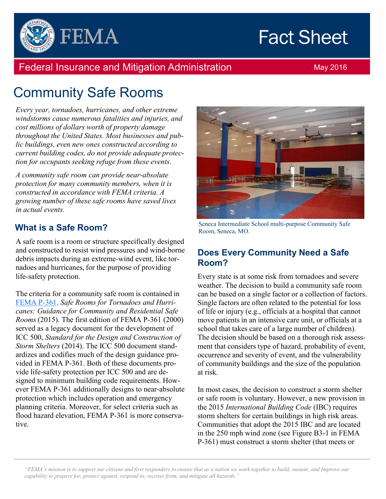# **Fact Sheet**



### Federal Insurance and Mitigation Administration May 2016

## Community Safe Rooms

*Every year, tornadoes, hurricanes, and other extreme windstorms cause numerous fatalities and injuries, and cost millions of dollars worth of property damage throughout the United States. Most businesses and public buildings, even new ones constructed according to current building codes, do not provide adequate protection for occupants seeking refuge from these events.*

*A community safe room can provide near-absolute protection for many community members, when it is constructed in accordance with FEMA criteria. A growing number of these safe rooms have saved lives in actual events.*

#### **What is a Safe Room?**

A safe room is a room or structure specifically designed and constructed to resist wind pressures and wind-borne debris impacts during an extreme-wind event, like tornadoes and hurricanes, for the purpose of providing life-safety protection.

The criteria for a community safe room is contained in FEMA P-361, *Safe Rooms for Tornadoes and Hurricanes: Guidance for Community and Residential Safe Rooms* (2015). The first edition of FEMA P-361 (2000) served as a legacy document for the development of ICC 500, *Standard for the Design and Construction of Storm Shelters* (2014). The ICC 500 document standardizes and codifies much of the design guidance provided in FEMA P-361. Both of these documents provide life-safety protection per ICC 500 and are designed to minimum building code requirements. However FEMA P-361 additionally designs to near-absolute protection which includes operation and emergency planning criteria. Moreover, for select criteria such as flood hazard elevation, FEMA P-361 is more conservative.



Seneca Intermediate School multi-purpose Community Safe Room, Seneca, MO.

#### **Does Every Community Need a Safe Room?**

Every state is at some risk from tornadoes and severe weather. The decision to build a community safe room can be based on a single factor or a collection of factors. Single factors are often related to the potential for loss of life or injury (e.g., officials at a hospital that cannot move patients in an intensive care unit, or officials at a school that takes care of a large number of children). The decision should be based on a thorough risk assessment that considers type of hazard, probability of event, occurrence and severity of event, and the vulnerability of community buildings and the size of the population at risk.

In most cases, the decision to construct a storm shelter or safe room is voluntary. However, a new provision in the 2015 *International Building Code* (IBC) requires storm shelters for certain buildings in high risk areas. Communities that adopt the 2015 IBC and are located in the 250 mph wind zone (see Figure B3-1 in FEMA P-361) must construct a storm shelter (that meets or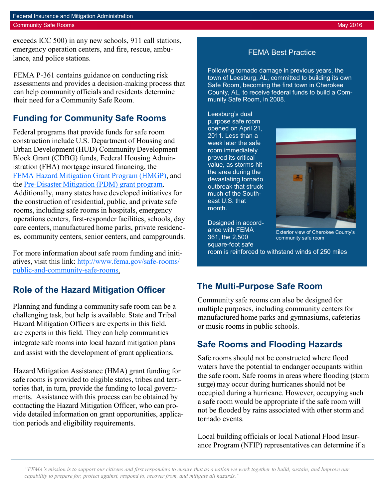exceeds ICC 500) in any new schools, 911 call stations, emergency operation centers, and fire, rescue, ambulance, and police stations.

FEMA P-361 contains guidance on conducting risk assessments and provides a decision-making process that can help community officials and residents determine their need for a Community Safe Room.

#### **Funding for Community Safe Rooms**

Federal programs that provide funds for safe room construction include U.S. Department of Housing and Urban Development (HUD) Community Development Block Grant (CDBG) funds, Federal Housing Administration (FHA) mortgage insured financing, the FEMA Hazard Mitigation Grant Program (HMGP), and the Pre-Disaster Mitigation (PDM) grant program. Additionally, many states have developed initiatives for the construction of residential, public, and private safe rooms, including safe rooms in hospitals, emergency operations centers, first-responder facilities, schools, day care centers, manufactured home parks, private residences, community centers, senior centers, and campgrounds.

For more information about safe room funding and initiatives, visit this link: http://www.fema.gov/safe-rooms/ public-and-community-safe-rooms.

#### **Role of the Hazard Mitigation Officer**

Planning and funding a community safe room can be a challenging task, but help is available. State and Tribal Hazard Mitigation Officers are experts in this field. are experts in this field. They can help communities integrate safe rooms into local hazard mitigation plans and assist with the development of grant applications.

Hazard Mitigation Assistance (HMA) grant funding for safe rooms is provided to eligible states, tribes and territories that, in turn, provide the funding to local governments. Assistance with this process can be obtained by contacting the Hazard Mitigation Officer, who can provide detailed information on grant opportunities, application periods and eligibility requirements.

#### FEMA Best Practice

Following tornado damage in previous years, the town of Leesburg, AL, committed to building its own Safe Room, becoming the first town in Cherokee County, AL, to receive federal funds to build a Community Safe Room, in 2008.

Leesburg's dual purpose safe room opened on April 21, 2011. Less than a week later the safe room immediately proved its critical value, as storms hit the area during the devastating tornado outbreak that struck much of the Southeast U.S. that month.



Designed in accordance with FEMA 361, the 2,500 square-foot safe

Exterior view of Cherokee County's community safe room

room is reinforced to withstand winds of 250 miles

#### **The Multi-Purpose Safe Room**

Community safe rooms can also be designed for multiple purposes, including community centers for manufactured home parks and gymnasiums, cafeterias or music rooms in public schools.

#### **Safe Rooms and Flooding Hazards**

Safe rooms should not be constructed where flood waters have the potential to endanger occupants within the safe room. Safe rooms in areas where flooding (storm surge) may occur during hurricanes should not be occupied during a hurricane. However, occupying such a safe room would be appropriate if the safe room will not be flooded by rains associated with other storm and tornado events.

Local building officials or local National Flood Insurance Program (NFIP) representatives can determine if a